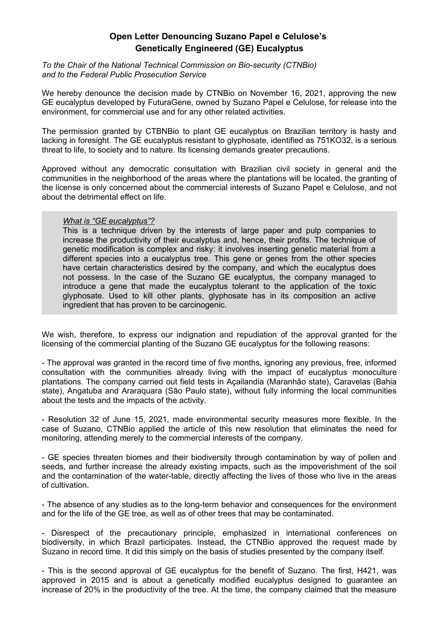## **Open Letter Denouncing Suzano Papel e Celulose's Genetically Engineered (GE) Eucalyptus**

*To the Chair of the National Technical Commission on Bio-security (CTNBio) and to the Federal Public Prosecution Service*

We hereby denounce the decision made by CTNBio on November 16, 2021, approving the new GE eucalyptus developed by FuturaGene, owned by Suzano Papel e Celulose, for release into the environment, for commercial use and for any other related activities.

The permission granted by CTBNBio to plant GE eucalyptus on Brazilian territory is hasty and lacking in foresight. The GE eucalyptus resistant to glyphosate, identified as 751KO32, is a serious threat to life, to society and to nature. Its licensing demands greater precautions.

Approved without any democratic consultation with Brazilian civil society in general and the communities in the neighborhood of the areas where the plantations will be located, the granting of the license is only concerned about the commercial interests of Suzano Papel e Celulose, and not about the detrimental effect on life.

## *What is "GE eucalyptus"?*

This is a technique driven by the interests of large paper and pulp companies to increase the productivity of their eucalyptus and, hence, their profits. The technique of genetic modification is complex and risky: it involves inserting genetic material from a different species into a eucalyptus tree. This gene or genes from the other species have certain characteristics desired by the company, and which the eucalyptus does not possess. In the case of the Suzano GE eucalyptus, the company managed to introduce a gene that made the eucalyptus tolerant to the application of the toxic glyphosate. Used to kill other plants, glyphosate has in its composition an active ingredient that has proven to be carcinogenic.

We wish, therefore, to express our indignation and repudiation of the approval granted for the licensing of the commercial planting of the Suzano GE eucalyptus for the following reasons:

- The approval was granted in the record time of five months, ignoring any previous, free, informed consultation with the communities already living with the impact of eucalyptus monoculture plantations. The company carried out field tests in Açailandia (Maranhão state), Caravelas (Bahia state), Angatuba and Araraquara (São Paulo state), without fully informing the local communities about the tests and the impacts of the activity.

- Resolution 32 of June 15, 2021, made environmental security measures more flexible. In the case of Suzano, CTNBio applied the article of this new resolution that eliminates the need for monitoring, attending merely to the commercial interests of the company.

- GE species threaten biomes and their biodiversity through contamination by way of pollen and seeds, and further increase the already existing impacts, such as the impoverishment of the soil and the contamination of the water-table, directly affecting the lives of those who live in the areas of cultivation.

- The absence of any studies as to the long-term behavior and consequences for the environment and for the life of the GE tree, as well as of other trees that may be contaminated.

- Disrespect of the precautionary principle, emphasized in international conferences on biodiversity, in which Brazil participates. Instead, the CTNBio approved the request made by Suzano in record time. It did this simply on the basis of studies presented by the company itself.

- This is the second approval of GE eucalyptus for the benefit of Suzano. The first, H421, was approved in 2015 and is about a genetically modified eucalyptus designed to guarantee an increase of 20% in the productivity of the tree. At the time, the company claimed that the measure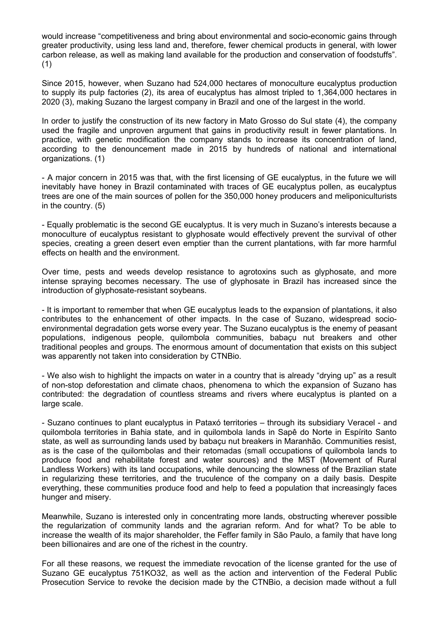would increase "competitiveness and bring about environmental and socio-economic gains through greater productivity, using less land and, therefore, fewer chemical products in general, with lower carbon release, as well as making land available for the production and conservation of foodstuffs". (1)

Since 2015, however, when Suzano had 524,000 hectares of monoculture eucalyptus production to supply its pulp factories (2), its area of eucalyptus has almost tripled to 1,364,000 hectares in 2020 (3), making Suzano the largest company in Brazil and one of the largest in the world.

In order to justify the construction of its new factory in Mato Grosso do Sul state (4), the company used the fragile and unproven argument that gains in productivity result in fewer plantations. In practice, with genetic modification the company stands to increase its concentration of land, according to the denouncement made in 2015 by hundreds of national and international organizations. (1)

- A major concern in 2015 was that, with the first licensing of GE eucalyptus, in the future we will inevitably have honey in Brazil contaminated with traces of GE eucalyptus pollen, as eucalyptus trees are one of the main sources of pollen for the 350,000 honey producers and meliponiculturists in the country. (5)

- Equally problematic is the second GE eucalyptus. It is very much in Suzano's interests because a monoculture of eucalyptus resistant to glyphosate would effectively prevent the survival of other species, creating a green desert even emptier than the current plantations, with far more harmful effects on health and the environment.

Over time, pests and weeds develop resistance to agrotoxins such as glyphosate, and more intense spraying becomes necessary. The use of glyphosate in Brazil has increased since the introduction of glyphosate-resistant soybeans.

- It is important to remember that when GE eucalyptus leads to the expansion of plantations, it also contributes to the enhancement of other impacts. In the case of Suzano, widespread socioenvironmental degradation gets worse every year. The Suzano eucalyptus is the enemy of peasant populations, indigenous people, quilombola communities, babaçu nut breakers and other traditional peoples and groups. The enormous amount of documentation that exists on this subject was apparently not taken into consideration by CTNBio.

- We also wish to highlight the impacts on water in a country that is already "drying up" as a result of non-stop deforestation and climate chaos, phenomena to which the expansion of Suzano has contributed: the degradation of countless streams and rivers where eucalyptus is planted on a large scale.

- Suzano continues to plant eucalyptus in Pataxó territories – through its subsidiary Veracel - and quilombola territories in Bahia state, and in quilombola lands in Sapê do Norte in Espírito Santo state, as well as surrounding lands used by babaçu nut breakers in Maranhão. Communities resist, as is the case of the quilombolas and their retomadas (small occupations of quilombola lands to produce food and rehabilitate forest and water sources) and the MST (Movement of Rural Landless Workers) with its land occupations, while denouncing the slowness of the Brazilian state in regularizing these territories, and the truculence of the company on a daily basis. Despite everything, these communities produce food and help to feed a population that increasingly faces hunger and misery.

Meanwhile, Suzano is interested only in concentrating more lands, obstructing wherever possible the regularization of community lands and the agrarian reform. And for what? To be able to increase the wealth of its major shareholder, the Feffer family in São Paulo, a family that have long been billionaires and are one of the richest in the country.

For all these reasons, we request the immediate revocation of the license granted for the use of Suzano GE eucalyptus 751KO32, as well as the action and intervention of the Federal Public Prosecution Service to revoke the decision made by the CTNBio, a decision made without a full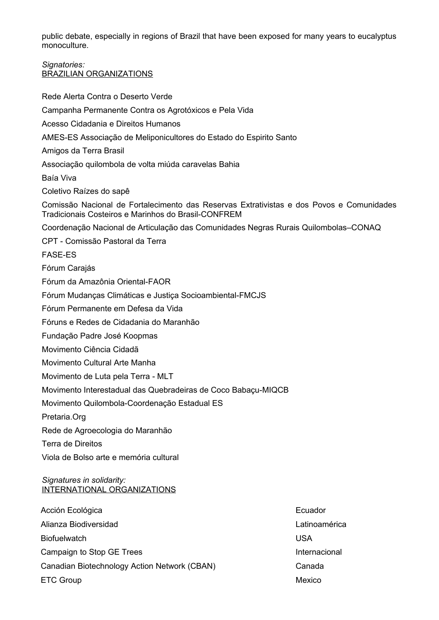public debate, especially in regions of Brazil that have been exposed for many years to eucalyptus monoculture.

## *Signatories:* BRAZILIAN ORGANIZATIONS

Rede Alerta Contra o Deserto Verde

Campanha Permanente Contra os Agrotóxicos e Pela Vida Acesso Cidadania e Direitos Humanos AMES-ES Associação de Meliponicultores do Estado do Espirito Santo Amigos da Terra Brasil Associação quilombola de volta miúda caravelas Bahia Baía Viva Coletivo Raízes do sapê Comissão Nacional de Fortalecimento das Reservas Extrativistas e dos Povos e Comunidades Tradicionais Costeiros e Marinhos do Brasil-CONFREM Coordenação Nacional de Articulação das Comunidades Negras Rurais Quilombolas–CONAQ CPT - Comissão Pastoral da Terra FASE-ES Fórum Carajás Fórum da Amazônia Oriental-FAOR Fórum Mudanças Climáticas e Justiça Socioambiental-FMCJS Fórum Permanente em Defesa da Vida Fóruns e Redes de Cidadania do Maranhão Fundação Padre José Koopmas Movimento Ciência Cidadã Movimento Cultural Arte Manha Movimento de Luta pela Terra - MLT Movimento Interestadual das Quebradeiras de Coco Babaçu-MIQCB Movimento Quilombola-Coordenação Estadual ES Pretaria.Org Rede de Agroecologia do Maranhão Terra de Direitos Viola de Bolso arte e memória cultural *Signatures in solidarity:* INTERNATIONAL ORGANIZATIONS Acción Ecológica **Ecuador** Ecuador

Alianza Biodiversidad Latinoamérica Biofuelwatch USA Campaign to Stop GE Trees **Internacional** Canadian Biotechnology Action Network (CBAN) Canada ETC Group **Mexico** Mexico **Mexico** Mexico Mexico **Mexico** Mexico